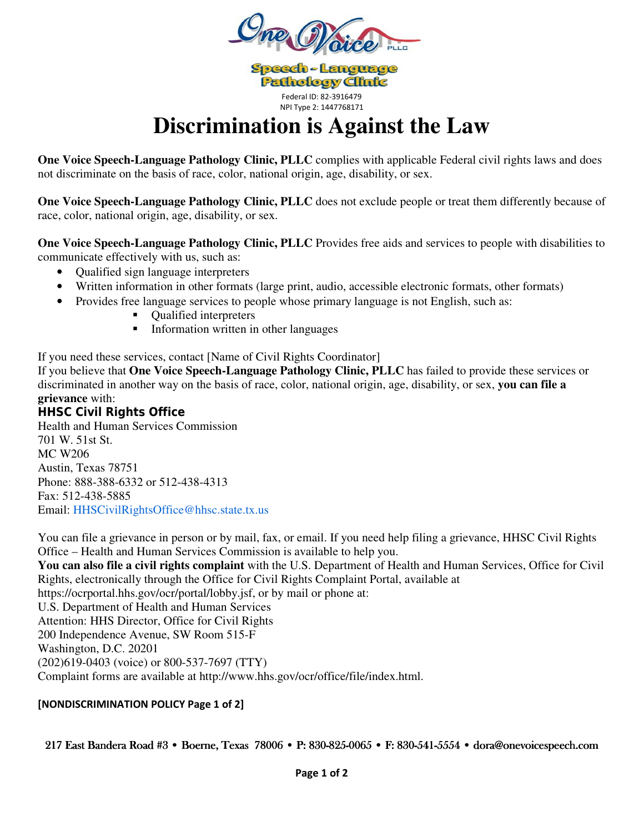

**Speech-Language Pathology Clinic** Federal ID: 82-3916479 NPI Type 2: 1447768171

# **Discrimination is Against the Law**

**One Voice Speech-Language Pathology Clinic, PLLC** complies with applicable Federal civil rights laws and does not discriminate on the basis of race, color, national origin, age, disability, or sex.

**One Voice Speech-Language Pathology Clinic, PLLC** does not exclude people or treat them differently because of race, color, national origin, age, disability, or sex.

**One Voice Speech-Language Pathology Clinic, PLLC** Provides free aids and services to people with disabilities to communicate effectively with us, such as:

- Qualified sign language interpreters
- Written information in other formats (large print, audio, accessible electronic formats, other formats)
- Provides free language services to people whose primary language is not English, such as:
	- Qualified interpreters
	- **Information written in other languages**

If you need these services, contact [Name of Civil Rights Coordinator]

If you believe that **One Voice Speech-Language Pathology Clinic, PLLC** has failed to provide these services or discriminated in another way on the basis of race, color, national origin, age, disability, or sex, **you can file a grievance** with:

## **HHSC Civil Rights Office**

Health and Human Services Commission 701 W. 51st St. MC W206 Austin, Texas 78751 Phone: 888-388-6332 or 512-438-4313 Fax: 512-438-5885 Email: HHSCivilRightsOffice@hhsc.state.tx.us

You can file a grievance in person or by mail, fax, or email. If you need help filing a grievance, HHSC Civil Rights Office – Health and Human Services Commission is available to help you.

**You can also file a civil rights complaint** with the U.S. Department of Health and Human Services, Office for Civil Rights, electronically through the Office for Civil Rights Complaint Portal, available at

https://ocrportal.hhs.gov/ocr/portal/lobby.jsf, or by mail or phone at:

U.S. Department of Health and Human Services

Attention: HHS Director, Office for Civil Rights

200 Independence Avenue, SW Room 515-F

Washington, D.C. 20201

(202)619-0403 (voice) or 800-537-7697 (TTY)

Complaint forms are available at http://www.hhs.gov/ocr/office/file/index.html.

## **[NONDISCRIMINATION POLICY Page 1 of 2]**

## 217 East Bandera Road #3 • Boerne, Texas 78006 • P: 830-825-0065 • F: 830-541-5554 • dora@onevoicespeech.com